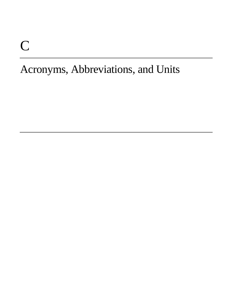# Acronyms, Abbreviations, and Units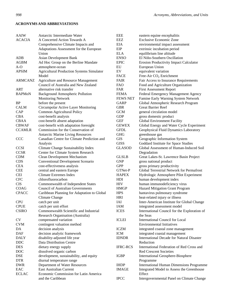## **ACRONYMS AND ABBREVIATIONS**

| AAIW           | Antarctic Intermediate Water                     |
|----------------|--------------------------------------------------|
| <b>ACACIA</b>  | A Concerted Action Towards A                     |
|                | Comprehensive Climate Impacts and                |
|                | Adaptations Assessment for the European          |
|                | Union                                            |
| <b>ADB</b>     | <b>Asian Development Bank</b>                    |
| <b>AGBM</b>    | Ad Hoc Group on the Berline Mandate              |
| $A-O$          | atmosphere-ocean                                 |
| <b>APSIM</b>   | <b>Agricultural Production Systems Simulator</b> |
|                | Model                                            |
| <b>ARMCANZ</b> | <b>Agriculture and Resource Management</b>       |
|                | Council of Australia and New Zealand             |
| ART            | alternative risk transfer                        |
| <b>BAPMON</b>  | Background Atmospheric Pollution                 |
|                | <b>Monitoring Network</b>                        |
| BP             | before the present                               |
| <b>CALM</b>    | Circumpolar Active Layer Monitoring              |
| CAP            | Common Agricultural Policy                       |
| <b>CBA</b>     | cost-benefit analysis                            |
| <b>CBAA</b>    | cost-benefit absent adaptation                   |
| <b>CBWAF</b>   | cost-benefit with adaptation foresight           |
| <b>CCAMLR</b>  | Commission for the Conservation of               |
|                | <b>Antarctic Marine Living Resources</b>         |
| ccc            | Canadian Centre for Climate Prediction and       |
|                | Analysis                                         |
| <b>CCSI</b>    | Climate Change Sustainability Index              |
| <b>CCSR</b>    | Center for Climate System Research               |
| <b>CDM</b>     | Clean Development Mechanism                      |
| <b>CDS</b>     | <b>Conventional Development Scenario</b>         |
| <b>CEA</b>     | cost-effectiveness analysis                      |
| <b>CEE</b>     | central and eastern Europe                       |
| CEI            | <b>Climate Extremes Index</b>                    |
| <b>CFC</b>     | chlorofluorocarbon                               |
| <b>CIS</b>     | Commonwealth of Independent States               |
| COAG           | <b>Council of Australian Governments</b>         |
| <b>CPACC</b>   | Caribbean Planning for Adaptation to Global      |
|                | Climate Change                                   |
| <b>CPU</b>     | catch per unit                                   |
| <b>CPUE</b>    | catch per unit effort                            |
| <b>CSIRO</b>   | Commonwealth Scientific and Industrial           |
|                | Research Organisation (Australia)                |
| <b>CV</b>      | compensated variation                            |
| <b>CVM</b>     | contingent valuation method                      |
| DA             | decision analysis                                |
| <b>DAF</b>     | decision analytic framework                      |
| <b>DALY</b>    | disability-adjusted life year                    |
| DDC            | <b>Data Distribution Centre</b>                  |
| DES            | dietary energy supply                            |
| DOC            | dissolved organic carbon                         |
| <b>DSE</b>     | development, sustainability, and equity          |
| <b>DTR</b>     | diurnal temperature range                        |
| <b>DWR</b>     | Department of Water Resources                    |
| <b>EAC</b>     | <b>East Australian Current</b>                   |
| <b>ECLAC</b>   | Economic Commission for Latin America            |
|                | and the Caribbean                                |

| EEE             | eastern equine encephalitis                         |
|-----------------|-----------------------------------------------------|
| EEZ             | <b>Exclusive Economic Zone</b>                      |
| EIA             | environmental impact assessment                     |
| EIP             | extrinsic incubation period                         |
| <b>ELA</b>      | equilibrium line altitude                           |
| ENSO            | El Niño-Southern Oscillation                        |
| <b>EPIC</b>     | <b>Erosion Productivity Impact Calculator</b>       |
| EU              | European Union                                      |
| EV              | equivalent variation                                |
| <b>FACE</b>     | Free-Air CO <sub>2</sub> Enrichment                 |
| <b>FAIR</b>     | Fair Access to Insurance Requirements               |
| FAO             | Food and Agriculture Organization                   |
| FAR             | <b>First Assessment Report</b>                      |
| <b>FEMA</b>     | Federal Emergency Management Agency                 |
| <b>FEWS NET</b> | Famine Early Warning System Network                 |
| <b>GARP</b>     | Global Atmospheric Research Program                 |
| GBR             | <b>Great Barrier Reef</b>                           |
| GCM             | general circulation model                           |
| <b>GDP</b>      | gross domestic product                              |
| <b>GEF</b>      | <b>Global Environment Facility</b>                  |
| <b>GEWEX</b>    | Global Energy and Water Cycle Experiment            |
| <b>GFDL</b>     | Geophysical Fluid Dynamics Laboratory               |
| <b>GHG</b>      | greenhouse gas                                      |
| GIS             | Geographic Information System                       |
| <b>GISS</b>     | Goddard Institute for Space Studies                 |
| <b>GLASOD</b>   | Global Assessment of Human-Induced Soil             |
|                 | Degradation                                         |
| GLSLB           | Great Lakes-St. Lawrence Basin Project              |
| GNP             | gross national product                              |
| <b>GPP</b>      | gross primary productivity                          |
| GTNet-P         | Global Terrestrial Network for Permafrost           |
| <b>HAPEX</b>    | Hydrologic Atmosphere Pilot Experiment              |
| HDI             | human development index                             |
| HIV.            | human immunodeficiency virus                        |
| <b>HMGP</b>     | <b>Hazard Mitigation Grant Program</b>              |
| <b>HPS</b>      | hantavirus pulmonary syndrome                       |
| HRI             | heat-related injury or illness                      |
| IAI             | Inter-American Institute for Global Change          |
| IAM             | integrated assessment model                         |
| <b>ICES</b>     | International Council for the Exploration of        |
|                 | the Seas                                            |
| ICLEI           | <b>International Council for Local</b>              |
|                 | <b>Environmental Initiatives</b>                    |
| ICZM            | integrated coastal zone management                  |
| ICM             | integrated coastal management                       |
| <b>IDNDR</b>    | <b>International Decade for Natural Disaster</b>    |
|                 | Reduction                                           |
| <b>IFRC-RCS</b> | International Federation of Red Cross and           |
|                 | <b>Red Crescent Societies</b>                       |
| IGBP            |                                                     |
|                 | <b>International Geosphere-Biosphere</b>            |
| IHDP            | Programme                                           |
| <b>IMAGE</b>    | <b>International Human Dimensions Programme</b>     |
|                 | Integrated Model to Assess the Greenhouse<br>Effect |
| IPCC            |                                                     |
|                 | Intergovernmental Panel on Climate Change           |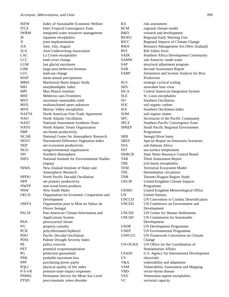| <b>ISEW</b>             | Index of Sustainable Economic Welfare                         | RA                           | risk assessment                                                  |
|-------------------------|---------------------------------------------------------------|------------------------------|------------------------------------------------------------------|
| <b>ITCZ</b>             | Inter-Tropical Convergence Zone                               | <b>RCM</b>                   | regional climate model                                           |
| <b>IWRM</b>             | integrated water resources management                         | R&D                          | research and development                                         |
| JE                      | Japanese encephalitis                                         | <b>REWU</b>                  | Regional Early Warning Unit                                      |
| $\mathbf{J}$            | joint implementation                                          | <b>RICC</b>                  | Regional Impacts of Climate Change                               |
| <b>JJA</b>              | June, July, August                                            | <b>RMA</b>                   | Resource Management Act (New Zealand)                            |
| <b>JUA</b>              | Joint Underwriting Association                                | <b>RVF</b>                   | Rift Valley fever                                                |
| LAC                     | La Crosse encephalitis                                        | <b>SADC</b>                  | Southern Africa Development Community                            |
| <b>LCC</b>              | land-cover change                                             | <b>SAMW</b>                  | sub-Antarctic mode water                                         |
| LGM                     | last glacial maximum                                          | <b>SAP</b>                   | structural adjustment program                                    |
| <b>LHB</b>              | large-area herbivore biomass                                  | <b>SAR</b>                   | Second Assessment Report                                         |
| ${\rm LUC}$             | land-use change                                               | <b>SARP</b>                  | Simulation and System Analysis for Rice                          |
| <b>MAP</b>              | mean annual precipitation                                     |                              | Production                                                       |
| <b>MBIS</b>             | Mackenzie Basin Impact Study                                  | <b>SCS</b>                   | strategic cyclical scaling                                       |
| <b>MEI</b>              | morphoedaphic index                                           | <b>SHV</b>                   | snowshoe hare virus                                              |
| <b>MPI</b>              | Max-Planck Institute                                          | <b>SICA</b>                  | <b>Central American Integration System</b>                       |
| <b>MSF</b>              | Médecins sans Frontières                                      | <b>SLE</b>                   | St. Louis encephalitis                                           |
| <b>MSY</b>              | maximum sustainable yield                                     | SO <sub>1</sub>              | Southern Oscillation                                             |
| <b>MSX</b>              | multinucleated spore unknown                                  | <b>SOC</b>                   | soil organic carbon                                              |
| <b>MVE</b>              | Murray Valley encephalitis                                    | SOI                          | Southern Oscillation Index                                       |
| <b>NAFTA</b>            | North American Free Trade Agreement                           | SOM                          | soil organic matter                                              |
| <b>NAO</b>              | North Atlantic Oscillation                                    | <b>SPC</b>                   | Secretariat of the Pacific Community                             |
| <b>NAST</b>             | National Assessment Synthesis Team                            | <b>SPCZ</b>                  | Southern Pacific Convergence Zone                                |
| <b>NATO</b>             | North Atlantic Treaty Organization                            | <b>SPREP</b>                 | South Pacific Regional Environment                               |
| <b>NBP</b>              | net biome productivity                                        |                              | Programme                                                        |
| <b>NCAR</b>             | National Center for Atmospheric Research                      | <b>SRB</b>                   | Senegal River basin                                              |
| <b>NDVI</b>             | Normalized Difference Vegetation Index                        | <b>SRES</b>                  | Special Report on Emissions Scenarios                            |
| <b>NEP</b>              | net ecosystem productivity                                    | <b>SSA</b>                   | sub-Saharan Africa                                               |
| <b>NGO</b>              | nongovernmental organization                                  | <b>SST</b>                   | sea-surface temperature                                          |
| NH                      | Northern Hemisphere                                           | <b>SWRCB</b>                 | <b>State Water Resource Control Board</b>                        |
| <b>NIES</b>             | National Institute for Environmental Studies                  | <b>TAR</b>                   | Third Assessment Report                                          |
|                         | (Japan)                                                       | TBE                          | tick-borne encephalitis                                          |
| <b>NIWA</b>             | New Zealand Institute of Water and                            | <b>TEM</b>                   | Terrestrial Ecosystem Model                                      |
|                         | Atmospheric Research                                          | <b>THC</b>                   | thermohaline circulation                                         |
| <b>NPDO</b>             | North Pacific Decadal Oscillation                             | <b>TNR</b>                   | Toronto-Niagara Region Study                                     |
| <b>NPP</b>              | net primary productivity                                      | <b>UKCIP</b>                 |                                                                  |
| <b>NWFP</b>             | non-wood forest products                                      |                              | United Kingdom Climate Impacts                                   |
| <b>NSW</b>              | New South Wales                                               | <b>UKMO</b>                  | Programme<br>United Kingdom Meteorological Office                |
|                         |                                                               |                              |                                                                  |
| <b>OECD</b>             | Organisation for Economic Cooperation and                     | <b>UN</b>                    | <b>United Nations</b><br>UN Convention to Combat Desertification |
| <b>OMVS</b>             | Development                                                   | <b>UNCCD</b><br><b>UNCED</b> | UN Conference on Environment and                                 |
|                         | Organisation pour la Mise en Valeur du                        |                              |                                                                  |
|                         | <b>Fleuve Senegal</b><br>Pan-American Climate Information and |                              | Development                                                      |
| <b>PACIS</b>            |                                                               | <b>UNCHS</b>                 | <b>UN Center for Human Settlements</b>                           |
|                         | <b>Applications System</b>                                    | <b>UNCSD</b>                 | <b>UN Commission for Sustainable</b>                             |
| PAN                     | peroxyacetyl nitrate                                          |                              | Development                                                      |
| $\mathbf{P}/\mathbf{C}$ | property-casualty                                             | <b>UNDP</b>                  | UN Development Programme                                         |
| <b>PCB</b>              | polychlorinated biphenyl                                      | <b>UNEP</b>                  | <b>UN Environmental Programme</b>                                |
| <b>PDO</b>              | Pacific Decadal Oscillation                                   | <b>UNFCCC</b>                | <b>UN Framework Convention on Climate</b>                        |
| <b>PDSI</b>             | Palmer Drought Severity Index                                 |                              | Change                                                           |
| PE                      | policy exercise                                               | <b>UN-OCHA</b>               | UN Office for the Coordination of                                |
| <b>PET</b>              | potential evapotranspiration                                  |                              | Humanitarian Affairs                                             |
| PG                      | protection guaranteed                                         | <b>USAID</b>                 | U.S. Agency for International Development                        |
| <b>PML</b>              | probable maximum loss                                         | <b>UV</b>                    | ultraviolet                                                      |
| PPP                     | purchasing power parity                                       | V&A                          | vulnerability and adaptation                                     |
| PQLI                    | physical quality of life index                                | <b>VAM</b>                   | Vulnerability Assessment and Mapping                             |
| $P-S-I-R$               | pressure-state-impact-responses                               | <b>VBD</b>                   | vector-borne disease                                             |
| <b>PSMSL</b>            | Permanent Service for Mean Sea Level                          | <b>VEE</b>                   | Venezuelan equine encephalitis                                   |
| <b>PTSD</b>             | post-traumatic stress disorder                                | <b>VC</b>                    | vectorial capacity                                               |